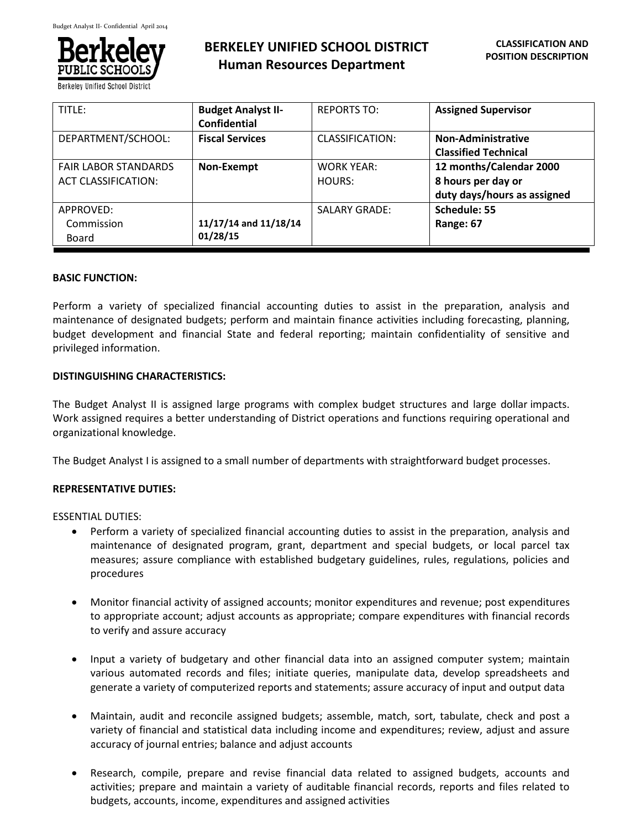

# **BERKELEY UNIFIED SCHOOL DISTRICT Human Resources Department**

| TITLE:                      | <b>Budget Analyst II-</b> | <b>REPORTS TO:</b>   | <b>Assigned Supervisor</b>  |
|-----------------------------|---------------------------|----------------------|-----------------------------|
|                             | <b>Confidential</b>       |                      |                             |
| DEPARTMENT/SCHOOL:          | <b>Fiscal Services</b>    | CLASSIFICATION:      | <b>Non-Administrative</b>   |
|                             |                           |                      | <b>Classified Technical</b> |
| <b>FAIR LABOR STANDARDS</b> | Non-Exempt                | <b>WORK YEAR:</b>    | 12 months/Calendar 2000     |
| <b>ACT CLASSIFICATION:</b>  |                           | HOURS:               | 8 hours per day or          |
|                             |                           |                      | duty days/hours as assigned |
| APPROVED:                   |                           | <b>SALARY GRADE:</b> | Schedule: 55                |
| Commission                  | 11/17/14 and 11/18/14     |                      | Range: 67                   |
| Board                       | 01/28/15                  |                      |                             |

## **BASIC FUNCTION:**

Perform a variety of specialized financial accounting duties to assist in the preparation, analysis and maintenance of designated budgets; perform and maintain finance activities including forecasting, planning, budget development and financial State and federal reporting; maintain confidentiality of sensitive and privileged information.

# **DISTINGUISHING CHARACTERISTICS:**

The Budget Analyst II is assigned large programs with complex budget structures and large dollar impacts. Work assigned requires a better understanding of District operations and functions requiring operational and organizational knowledge.

The Budget Analyst I is assigned to a small number of departments with straightforward budget processes.

# **REPRESENTATIVE DUTIES:**

ESSENTIAL DUTIES:

- Perform a variety of specialized financial accounting duties to assist in the preparation, analysis and maintenance of designated program, grant, department and special budgets, or local parcel tax measures; assure compliance with established budgetary guidelines, rules, regulations, policies and procedures
- Monitor financial activity of assigned accounts; monitor expenditures and revenue; post expenditures to appropriate account; adjust accounts as appropriate; compare expenditures with financial records to verify and assure accuracy
- Input a variety of budgetary and other financial data into an assigned computer system; maintain various automated records and files; initiate queries, manipulate data, develop spreadsheets and generate a variety of computerized reports and statements; assure accuracy of input and output data
- Maintain, audit and reconcile assigned budgets; assemble, match, sort, tabulate, check and post a variety of financial and statistical data including income and expenditures; review, adjust and assure accuracy of journal entries; balance and adjust accounts
- Research, compile, prepare and revise financial data related to assigned budgets, accounts and activities; prepare and maintain a variety of auditable financial records, reports and files related to budgets, accounts, income, expenditures and assigned activities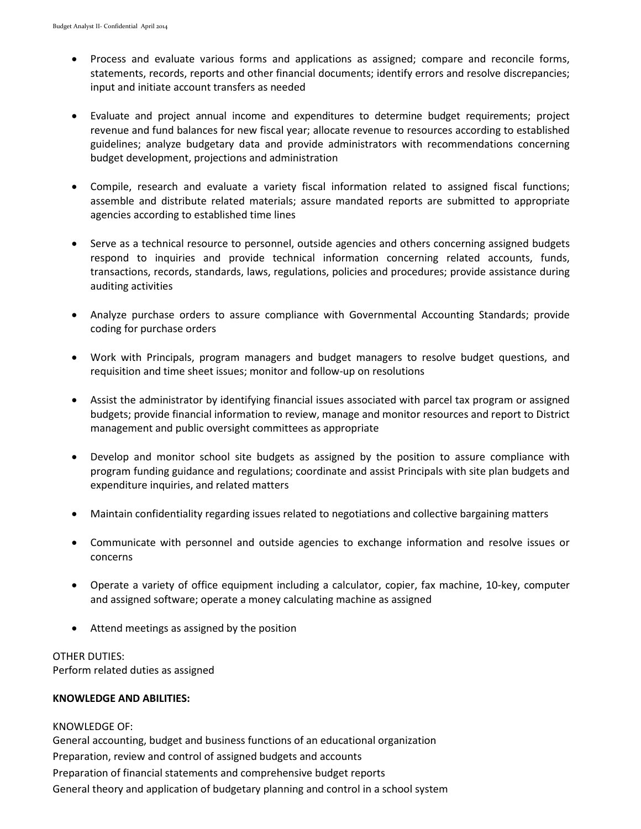- Process and evaluate various forms and applications as assigned; compare and reconcile forms, statements, records, reports and other financial documents; identify errors and resolve discrepancies; input and initiate account transfers as needed
- Evaluate and project annual income and expenditures to determine budget requirements; project revenue and fund balances for new fiscal year; allocate revenue to resources according to established guidelines; analyze budgetary data and provide administrators with recommendations concerning budget development, projections and administration
- Compile, research and evaluate a variety fiscal information related to assigned fiscal functions; assemble and distribute related materials; assure mandated reports are submitted to appropriate agencies according to established time lines
- Serve as a technical resource to personnel, outside agencies and others concerning assigned budgets respond to inquiries and provide technical information concerning related accounts, funds, transactions, records, standards, laws, regulations, policies and procedures; provide assistance during auditing activities
- Analyze purchase orders to assure compliance with Governmental Accounting Standards; provide coding for purchase orders
- Work with Principals, program managers and budget managers to resolve budget questions, and requisition and time sheet issues; monitor and follow-up on resolutions
- Assist the administrator by identifying financial issues associated with parcel tax program or assigned budgets; provide financial information to review, manage and monitor resources and report to District management and public oversight committees as appropriate
- Develop and monitor school site budgets as assigned by the position to assure compliance with program funding guidance and regulations; coordinate and assist Principals with site plan budgets and expenditure inquiries, and related matters
- Maintain confidentiality regarding issues related to negotiations and collective bargaining matters
- Communicate with personnel and outside agencies to exchange information and resolve issues or concerns
- Operate a variety of office equipment including a calculator, copier, fax machine, 10-key, computer and assigned software; operate a money calculating machine as assigned
- Attend meetings as assigned by the position

## OTHER DUTIES:

Perform related duties as assigned

## **KNOWLEDGE AND ABILITIES:**

# KNOWLEDGE OF:

General accounting, budget and business functions of an educational organization Preparation, review and control of assigned budgets and accounts Preparation of financial statements and comprehensive budget reports General theory and application of budgetary planning and control in a school system